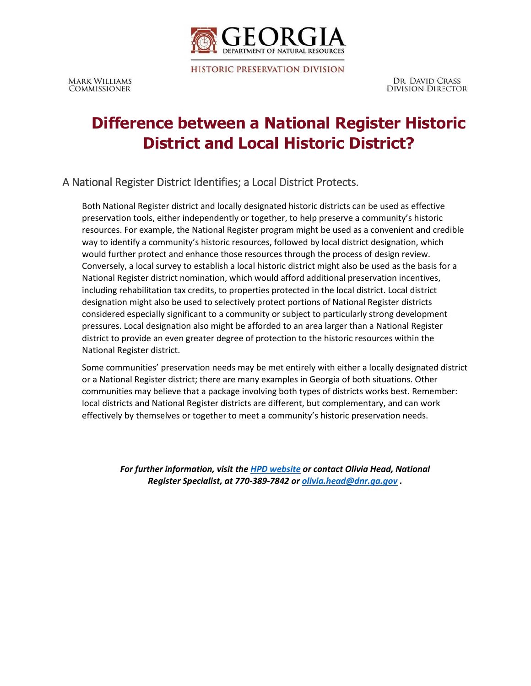

**HISTORIC PRESERVATION DIVISION** 

DR. DAVID CRASS **DIVISION DIRECTOR** 

# **Difference between a National Register Historic District and Local Historic District?**

A National Register District Identifies; a Local District Protects.

Both National Register district and locally designated historic districts can be used as effective preservation tools, either independently or together, to help preserve a community's historic resources. For example, the National Register program might be used as a convenient and credible way to identify a community's historic resources, followed by local district designation, which would further protect and enhance those resources through the process of design review. Conversely, a local survey to establish a local historic district might also be used as the basis for a National Register district nomination, which would afford additional preservation incentives, including rehabilitation tax credits, to properties protected in the local district. Local district designation might also be used to selectively protect portions of National Register districts considered especially significant to a community or subject to particularly strong development pressures. Local designation also might be afforded to an area larger than a National Register district to provide an even greater degree of protection to the historic resources within the National Register district.

Some communities' preservation needs may be met entirely with either a locally designated district or a National Register district; there are many examples in Georgia of both situations. Other communities may believe that a package involving both types of districts works best. Remember: local districts and National Register districts are different, but complementary, and can work effectively by themselves or together to meet a community's historic preservation needs.

*For further information, visit the [HPD website](http://www.georgiashpo.org/) or contact Olivia Head, National Register Specialist, at 770-389-7842 or [olivia.head@dnr.ga.gov](mailto:Olivia.head@dnr.ga.gov) .*

**MARK WILLIAMS COMMISSIONER**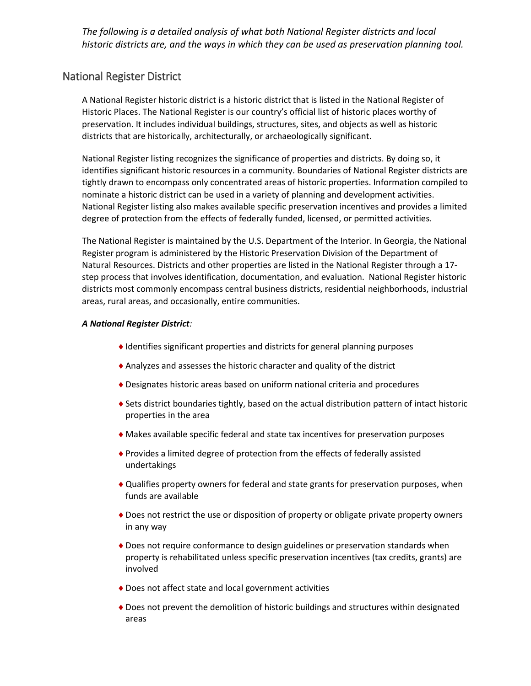*The following is a detailed analysis of what both National Register districts and local historic districts are, and the ways in which they can be used as preservation planning tool.*

### National Register District

A National Register historic district is a historic district that is listed in the National Register of Historic Places. The National Register is our country's official list of historic places worthy of preservation. It includes individual buildings, structures, sites, and objects as well as historic districts that are historically, architecturally, or archaeologically significant.

National Register listing recognizes the significance of properties and districts. By doing so, it identifies significant historic resources in a community. Boundaries of National Register districts are tightly drawn to encompass only concentrated areas of historic properties. Information compiled to nominate a historic district can be used in a variety of planning and development activities. National Register listing also makes available specific preservation incentives and provides a limited degree of protection from the effects of federally funded, licensed, or permitted activities.

The National Register is maintained by the U.S. Department of the Interior. In Georgia, the National Register program is administered by the Historic Preservation Division of the Department of Natural Resources. Districts and other properties are listed in the National Register through a 17 step process that involves identification, documentation, and evaluation. National Register historic districts most commonly encompass central business districts, residential neighborhoods, industrial areas, rural areas, and occasionally, entire communities.

#### *A National Register District:*

- Identifies significant properties and districts for general planning purposes
- Analyzes and assesses the historic character and quality of the district
- Designates historic areas based on uniform national criteria and procedures
- Sets district boundaries tightly, based on the actual distribution pattern of intact historic properties in the area
- Makes available specific federal and state tax incentives for preservation purposes
- Provides a limited degree of protection from the effects of federally assisted undertakings
- Qualifies property owners for federal and state grants for preservation purposes, when funds are available
- Does not restrict the use or disposition of property or obligate private property owners in any way
- Does not require conformance to design guidelines or preservation standards when property is rehabilitated unless specific preservation incentives (tax credits, grants) are involved
- Does not affect state and local government activities
- Does not prevent the demolition of historic buildings and structures within designated areas